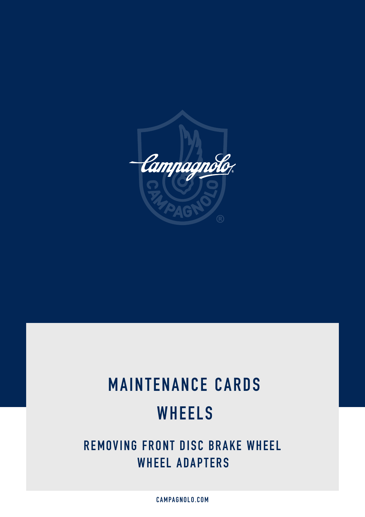

# **MAINTENANCE CARDS WHEELS**

**REMOVING FRONT DISC BRAKE WHEEL WHEEL ADAPTERS**

**CAMPAGNOLO.COM**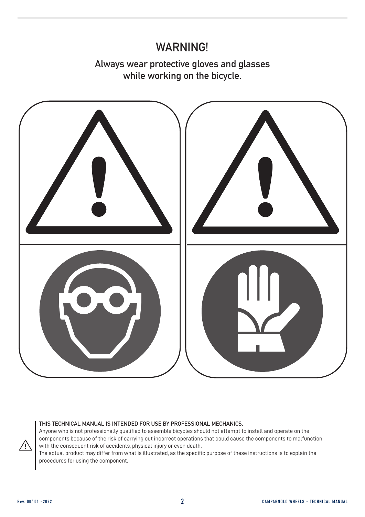#### **WARNING!**

**Always wear protective gloves and glasses while working on the bicycle.**



#### **THIS TECHNICAL MANUAL IS INTENDED FOR USE BY PROFESSIONAL MECHANICS.**

Anyone who is not professionally qualified to assemble bicycles should not attempt to install and operate on the components because of the risk of carrying out incorrect operations that could cause the components to malfunction with the consequent risk of accidents, physical injury or even death.

The actual product may differ from what is illustrated, as the specific purpose of these instructions is to explain the procedures for using the component.

∕ (`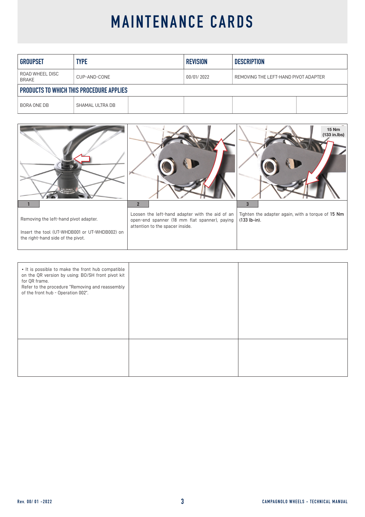| <b>GROUPSET</b>                                 | <b>TYPE</b>     | <b>REVISION</b> | <b>DESCRIPTION</b>                   |  |
|-------------------------------------------------|-----------------|-----------------|--------------------------------------|--|
| ROAD WHEEL DISC<br><b>BRAKE</b>                 | CUP-AND-CONE    | 00/01/ 2022     | REMOVING THE LEFT-HAND PIVOT ADAPTER |  |
| <b>PRODUCTS TO WHICH THIS PROCEDURE APPLIES</b> |                 |                 |                                      |  |
| BORA ONE DB                                     | SHAMAL ULTRA DB |                 |                                      |  |



| • It is possible to make the front hub compatible<br>on the QR version by using: BO/SH front pivot kit<br>for QR frame.<br>Refer to the procedure "Removing and reassembly<br>of the front hub - Operation 002". |  |
|------------------------------------------------------------------------------------------------------------------------------------------------------------------------------------------------------------------|--|
|                                                                                                                                                                                                                  |  |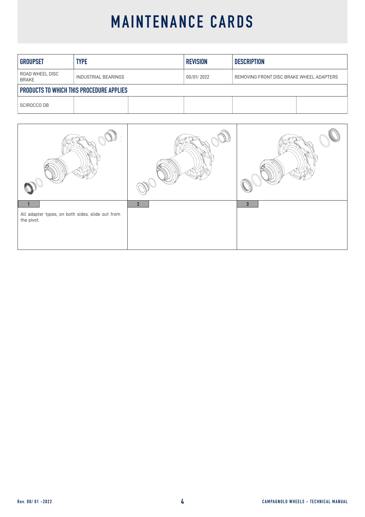| <b>GROUPSET</b>                                 | <b>TYPE</b>                | <b>REVISION</b> | <b>DESCRIPTION</b>                       |  |
|-------------------------------------------------|----------------------------|-----------------|------------------------------------------|--|
| ROAD WHEEL DISC<br><b>BRAKE</b>                 | <b>INDUSTRIAL BEARINGS</b> | 00/01/2022      | REMOVING FRONT DISC BRAKE WHEEL ADAPTERS |  |
| <b>PRODUCTS TO WHICH THIS PROCEDURE APPLIES</b> |                            |                 |                                          |  |
| <b>SCIROCCO DB</b>                              |                            |                 |                                          |  |

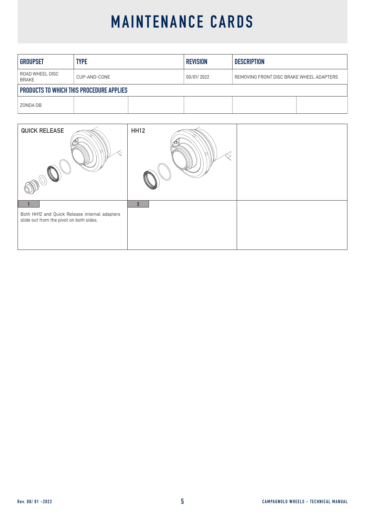| <b>GROUPSET</b>                                 | <b>TYPE</b>  | <b>REVISION</b> | <b>DESCRIPTION</b>                       |  |
|-------------------------------------------------|--------------|-----------------|------------------------------------------|--|
| ROAD WHEEL DISC<br>BRAKE                        | CUP-AND-CONE | 00/01/2022      | REMOVING FRONT DISC BRAKE WHEEL ADAPTERS |  |
| <b>PRODUCTS TO WHICH THIS PROCEDURE APPLIES</b> |              |                 |                                          |  |
| ZONDA DB                                        |              |                 |                                          |  |